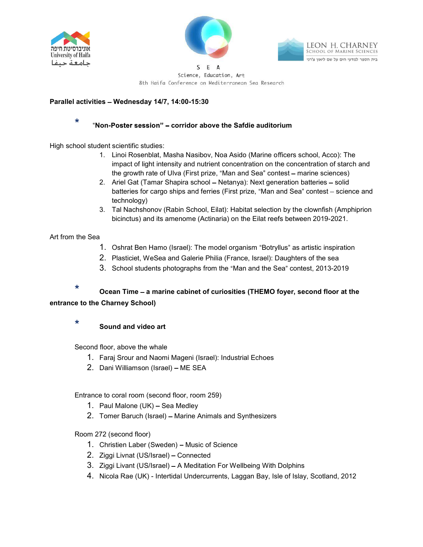





Science, Education, Art 8th Haifa Conference on Mediterranean Sea Research

#### Parallel activities - Wednesday  $14/7$ ,  $14:00-15:30$

# $*$  "Non-Poster session" – corridor above the Safdie auditorium

High school student scientific studies:

- 1. Linoi Rosenblat, Masha Nasibov, Noa Asido (Marine officers school, Acco): The impact of light intensity and nutrient concentration on the concentration of starch and the growth rate of Ulva (First prize, "Man and Sea" contest – marine sciences)
- 2. Ariel Gat (Tamar Shapira school Netanya): Next generation batteries solid batteries for cargo ships and ferries (First prize, "Man and Sea" contest – science and technology)
- 3. Tal Nachshonov (Rabin School, Eilat): Habitat selection by the clownfish (Amphiprion bicinctus) and its amenome (Actinaria) on the Eilat reefs between 2019-2021.

#### Art from the Sea

- 1. Oshrat Ben Hamo (Israel): The model organism "Botryllus" as artistic inspiration
- 2. Plasticiet, WeSea and Galerie Philia (France, Israel): Daughters of the sea
- 3. School students photographs from the "Man and the Sea" contest, 2013-2019

## $*$  Ocean Time – a marine cabinet of curiosities (THEMO foyer, second floor at the entrance to the Charney School)

## $*$  Sound and video art

Second floor, above the whale

- 1. Faraj Srour and Naomi Mageni (Israel): Industrial Echoes
- 2. Dani Williamson (Israel) ME SEA

Entrance to coral room (second floor, room 259)

- 1. Paul Malone  $(UK)$  Sea Medley
- 2. Tomer Baruch (Israel) Marine Animals and Synthesizers

Room 272 (second floor)

- 1. Christien Laber (Sweden) Music of Science
- 2. Ziggi Livnat (US/Israel) Connected
- 3. Ziggi Livant (US/Israel) A Meditation For Wellbeing With Dolphins
- 4. Nicola Rae (UK) Intertidal Undercurrents, Laggan Bay, Isle of Islay, Scotland, 2012